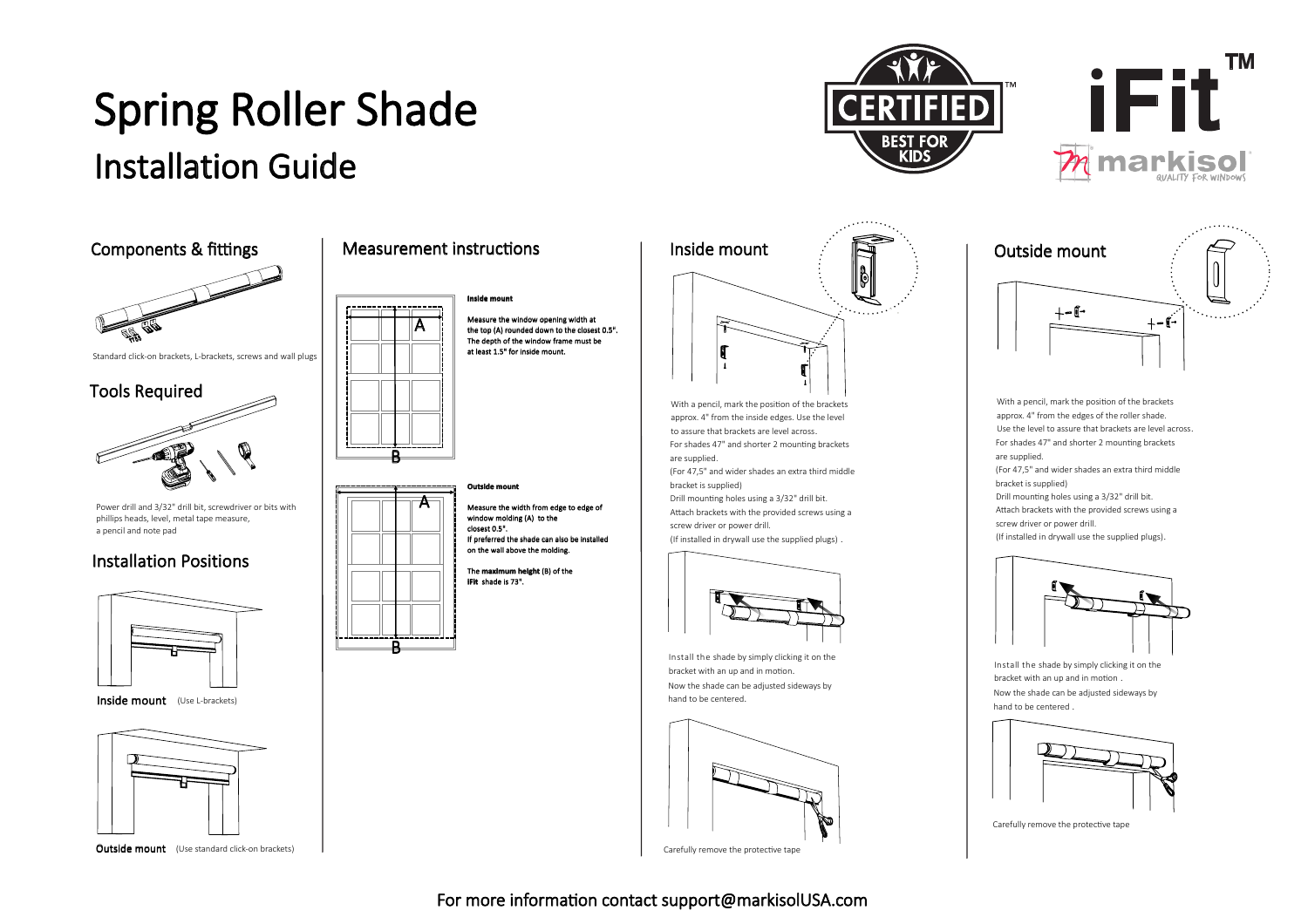# Spring Roller Shade

### Installation Guide



Outside mount (Use standard click-on brackets)

re the window opening width at the top (A) rounded down to the closest 0.5". The depth of the window frame must be at least 1.5" for inside mount.

re the width from edge to ed window molding (A) to the If preferred the shade can also be in

The **maximum height** (B) of the



**BEST** 

For shades 47" and shorter 2 mounting brackets are supplied. (For 47,5" and wider shades an extra third middle bracket is supplied) With a pencil, mark the position of the brackets approx. 4" from the inside edges. Use the level to assure that brackets are level across. Drill mounting holes using a 3/32" drill bit. Attach brackets with the provided screws using a screw driver or power drill. (If installed in drywall use the supplied plugs) .



Install the shade by simply clicking it on the bracket with an up and in motion. Now the shade can be adjusted sideways by hand to be centered.



Carefully remove the protective tape



**iFit** 

markisol

**TM** 

Drill mounting holes using a 3/32" drill bit. Attach brackets with the provided screws using a screw driver or power drill. (If installed in drywall use the supplied plugs). With a pencil, mark the position of the brackets approx. 4" from the edges of the roller shade. Use the level to assure that brackets are level across. For shades 47" and shorter 2 mounting brackets are supplied. (For 47,5" and wider shades an extra third middle bracket is supplied)



Now the shade can be adjusted sideways by hand to be centered . Install the shade by simply clicking it on the bracket with an up and in motion



Carefully remove the protective tape

#### For more information contact support@markisolUSA.com